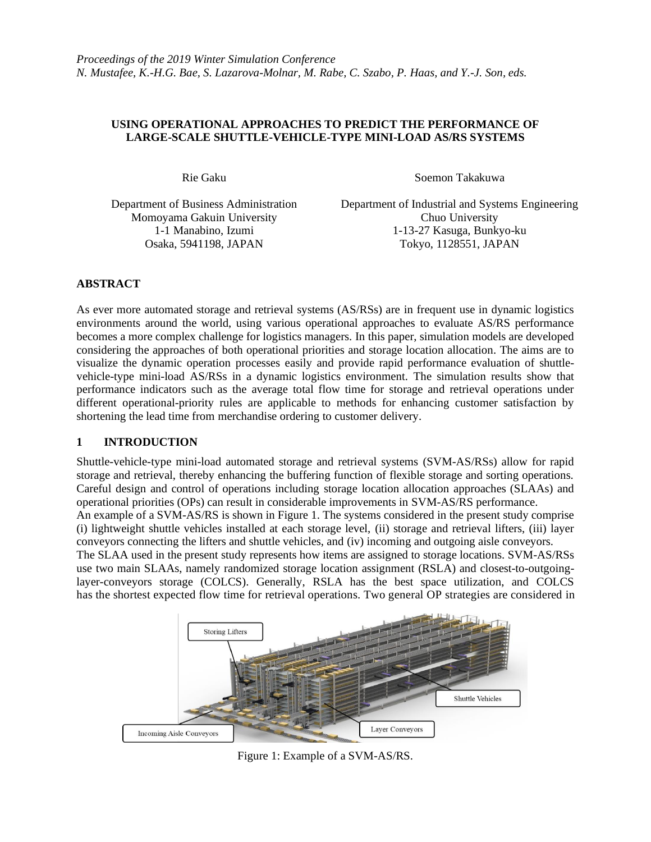## **USING OPERATIONAL APPROACHES TO PREDICT THE PERFORMANCE OF LARGE-SCALE SHUTTLE-VEHICLE-TYPE MINI-LOAD AS/RS SYSTEMS**

Momoyama Gakuin University Chuo University

Rie Gaku Soemon Takakuwa

Department of Business Administration Department of Industrial and Systems Engineering 1-1 Manabino, Izumi 1-13-27 Kasuga, Bunkyo-ku Osaka, 5941198, JAPAN Tokyo, 1128551, JAPAN

# **ABSTRACT**

As ever more automated storage and retrieval systems (AS/RSs) are in frequent use in dynamic logistics environments around the world, using various operational approaches to evaluate AS/RS performance becomes a more complex challenge for logistics managers. In this paper, simulation models are developed considering the approaches of both operational priorities and storage location allocation. The aims are to visualize the dynamic operation processes easily and provide rapid performance evaluation of shuttlevehicle-type mini-load AS/RSs in a dynamic logistics environment. The simulation results show that performance indicators such as the average total flow time for storage and retrieval operations under different operational-priority rules are applicable to methods for enhancing customer satisfaction by shortening the lead time from merchandise ordering to customer delivery.

# **1 INTRODUCTION**

Shuttle-vehicle-type mini-load automated storage and retrieval systems (SVM-AS/RSs) allow for rapid storage and retrieval, thereby enhancing the buffering function of flexible storage and sorting operations. Careful design and control of operations including storage location allocation approaches (SLAAs) and operational priorities (OPs) can result in considerable improvements in SVM-AS/RS performance.

An example of a SVM-AS/RS is shown in Figure 1. The systems considered in the present study comprise (i) lightweight shuttle vehicles installed at each storage level, (ii) storage and retrieval lifters, (iii) layer conveyors connecting the lifters and shuttle vehicles, and (iv) incoming and outgoing aisle conveyors.

The SLAA used in the present study represents how items are assigned to storage locations. SVM-AS/RSs use two main SLAAs, namely randomized storage location assignment (RSLA) and closest-to-outgoinglayer-conveyors storage (COLCS). Generally, RSLA has the best space utilization, and COLCS has the shortest expected flow time for retrieval operations. Two general OP strategies are considered in



Figure 1: Example of a SVM-AS/RS.